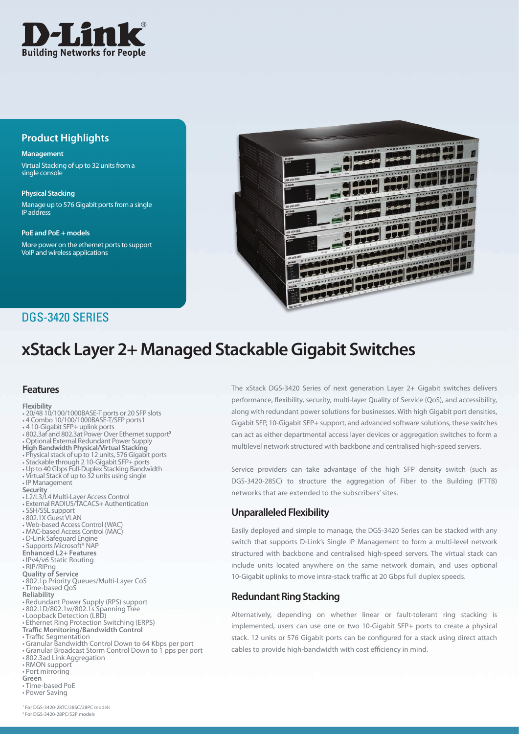

# **Product Highlights**

#### **Management**

Virtual Stacking of up to 32 units from a single console

**Physical Stacking** Manage up to 576 Gigabit ports from a single IP address

**PoE and PoE + models**

More power on the ethernet ports to support VoIP and wireless applications



# DGS-3420 SERIES

# **xStack Layer 2+ Managed Stackable Gigabit Switches**

## **Features**

#### **Flexibility**

- 20/48 10/100/1000BASE-T ports or 20 SFP slots
- • 4 Combo 10/100/1000BASE-T/SFP ports1
- 
- • 4 10-Gigabit SFP+ uplink ports • 802.3af and 802.3at Power Over Ethernet support**<sup>2</sup>**
- **Optional External Redundant Power Supply**
- **High Bandwidth Physical/Virtual Stacking**
- • Physical stack of up to 12 units, 576 Gigabit ports
- • Stackable through 2 10-Gigabit SFP+ ports • Up to 40 Gbps Full-Duplex Stacking Bandwidth
- 
- • Virtual Stack of up to 32 units using single
- • IP Management
- **Security**
- • L2/L3/L4 Multi-Layer Access Control
- **External RADIUS/TACACS+ Authentication**
- • SSH/SSL support
- • 802.1X Guest VLAN
- • Web-based Access Control (WAC) • MAC-based Access Control (MAC)
- 
- • D-Link Safeguard Engine
- Supports Microsoft<sup>®</sup> NAP
- **Enhanced L2+ Features**
- • IPv4/v6 Static Routing • RIP/RIPng
- **Quality of Service**
- • 802.1p Priority Queues/Multi-Layer CoS
- • Time-based QoS
- **Reliability**
- • Redundant Power Supply (RPS) support
- 802.1D/802.1w/802.1s Spanning Tree<br>• Loopback Detection (LBD)
- 
- • Ethernet Ring Protection Switching (ERPS) **Traffic Monitoring/Bandwidth Control**
- 
- Traffic Segmentation
- • Granular Bandwidth Control Down to 64 Kbps per port • Granular Broadcast Storm Control Down to 1 pps per port
- • 802.3ad Link Aggregation
- • RMON support
- Port mirroring
- **Green**
- • Time-based PoE
- • Power Saving

The xStack DGS-3420 Series of next generation Layer 2+ Gigabit switches delivers performance, flexibility, security, multi-layer Quality of Service (QoS), and accessibility, along with redundant power solutions for businesses. With high Gigabit port densities, Gigabit SFP, 10-Gigabit SFP+ support, and advanced software solutions, these switches can act as either departmental access layer devices or aggregation switches to form a multilevel network structured with backbone and centralised high-speed servers.

Service providers can take advantage of the high SFP density switch (such as DGS-3420-28SC) to structure the aggregation of Fiber to the Building (FTTB) networks that are extended to the subscribers' sites.

## **Unparalleled Flexibility**

Easily deployed and simple to manage, the DGS-3420 Series can be stacked with any switch that supports D-Link's Single IP Management to form a multi-level network structured with backbone and centralised high-speed servers. The virtual stack can include units located anywhere on the same network domain, and uses optional 10-Gigabit uplinks to move intra-stack traffic at 20 Gbps full duplex speeds.

# **Redundant Ring Stacking**

Alternatively, depending on whether linear or fault-tolerant ring stacking is implemented, users can use one or two 10-Gigabit SFP+ ports to create a physical stack. 12 units or 576 Gigabit ports can be configured for a stack using direct attach cables to provide high-bandwidth with cost efficiency in mind.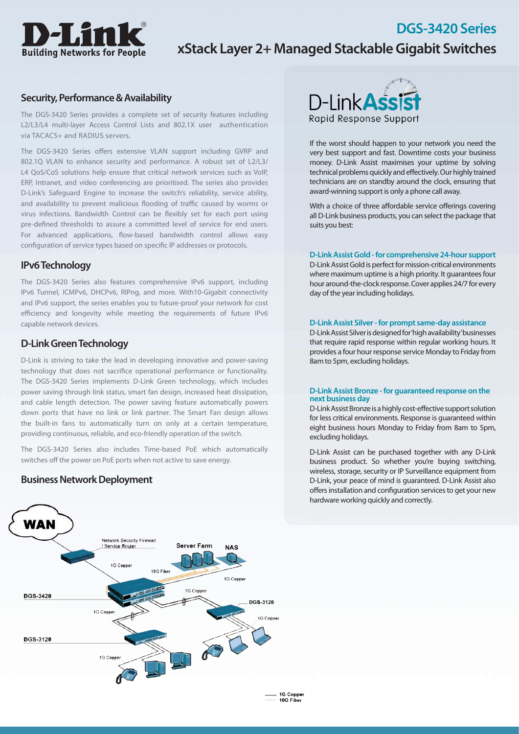

# **xStack Layer 2+ Managed Stackable Gigabit Switches**

### **Security, Performance & Availability**

The DGS-3420 Series provides a complete set of security features including L2/L3/L4 multi-layer Access Control Lists and 802.1X user authentication via TACACS+ and RADIUS servers.

The DGS-3420 Series offers extensive VLAN support including GVRP and 802.1Q VLAN to enhance security and performance. A robust set of L2/L3/ L4 QoS/CoS solutions help ensure that critical network services such as VoIP, ERP, Intranet, and video conferencing are prioritised. The series also provides D-Link's Safeguard Engine to increase the switch's reliability, service ability, and availability to prevent malicious flooding of traffic caused by worms or virus infections. Bandwidth Control can be flexibly set for each port using pre-defined thresholds to assure a committed level of service for end users. For advanced applications, flow-based bandwidth control allows easy configuration of service types based on specific IP addresses or protocols.

## **IPv6 Technology**

The DGS-3420 Series also features comprehensive IPv6 support, including IPv6 Tunnel, ICMPv6, DHCPv6, RIPng, and more. With10-Gigabit connectivity and IPv6 support, the series enables you to future-proof your network for cost efficiency and longevity while meeting the requirements of future IPv6 capable network devices.

# **D-Link Green Technology**

D-Link is striving to take the lead in developing innovative and power-saving technology that does not sacrifice operational performance or functionality. The DGS-3420 Series implements D-Link Green technology, which includes power saving through link status, smart fan design, increased heat dissipation, and cable length detection. The power saving feature automatically powers down ports that have no link or link partner. The Smart Fan design allows the built-in fans to automatically turn on only at a certain temperature, providing continuous, reliable, and eco-friendly operation of the switch.

The DGS-3420 Series also includes Time-based PoE which automatically switches off the power on PoE ports when not active to save energy.

### **Business Network Deployment**



If the worst should happen to your network you need the very best support and fast. Downtime costs your business money. D-Link Assist maximises your uptime by solving technical problems quickly and effectively. Our highly trained technicians are on standby around the clock, ensuring that award-winning support is only a phone call away.

**DGS-3420 Series**

With a choice of three affordable service offerings covering all D-Link business products, you can select the package that suits you best:

#### **D-Link Assist Gold - for comprehensive 24-hour support**

D-Link Assist Gold is perfect for mission-critical environments where maximum uptime is a high priority. It quarantees four hour around-the-clock response. Cover applies 24/7 for every day of the year including holidays.

#### **D-Link Assist Silver - for prompt same-day assistance**

D-Link Assist Silver is designed for 'high availability' businesses that require rapid response within regular working hours. It provides a four hour response service Monday to Friday from 8am to 5pm, excluding holidays.

#### **D-Link Assist Bronze - for guaranteed response on the next business day**

D-Link Assist Bronze is a highly cost-effective support solution for less critical environments. Response is guaranteed within eight business hours Monday to Friday from 8am to 5pm, excluding holidays.

D-Link Assist can be purchased together with any D-Link business product. So whether you're buying switching, wireless, storage, security or IP Surveillance equipment from D-Link, your peace of mind is guaranteed. D-Link Assist also offers installation and configuration services to get your new hardware working quickly and correctly.

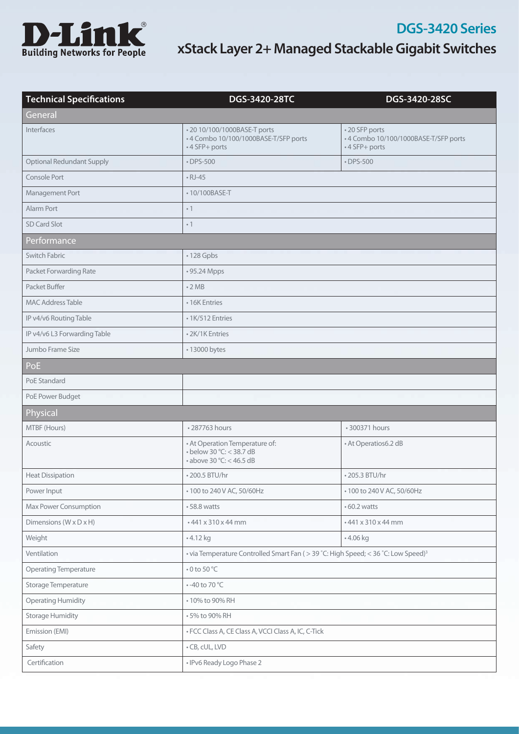

| <b>Technical Specifications</b>  | DGS-3420-28TC                                                                                      | DGS-3420-28SC                                                            |  |  |
|----------------------------------|----------------------------------------------------------------------------------------------------|--------------------------------------------------------------------------|--|--|
| General                          |                                                                                                    |                                                                          |  |  |
| <b>Interfaces</b>                | • 20 10/100/1000BASE-T ports<br>• 4 Combo 10/100/1000BASE-T/SFP ports<br>• 4 SFP+ ports            | • 20 SFP ports<br>-4 Combo 10/100/1000BASE-T/SFP ports<br>• 4 SFP+ ports |  |  |
| <b>Optional Redundant Supply</b> | • DPS-500                                                                                          | $\cdot$ DPS-500                                                          |  |  |
| Console Port                     | $\cdot$ RJ-45                                                                                      |                                                                          |  |  |
| Management Port                  | •10/100BASE-T                                                                                      |                                                                          |  |  |
| Alarm Port                       | $\cdot$ 1                                                                                          |                                                                          |  |  |
| SD Card Slot                     | $\cdot$ 1                                                                                          |                                                                          |  |  |
| Performance                      |                                                                                                    |                                                                          |  |  |
| Switch Fabric                    | $\cdot$ 128 Gpbs                                                                                   |                                                                          |  |  |
| Packet Forwarding Rate           | • 95.24 Mpps                                                                                       |                                                                          |  |  |
| Packet Buffer                    | $\cdot$ 2 MB                                                                                       |                                                                          |  |  |
| <b>MAC Address Table</b>         | • 16K Entries                                                                                      |                                                                          |  |  |
| IP v4/v6 Routing Table           | • 1K/512 Entries                                                                                   |                                                                          |  |  |
| IP v4/v6 L3 Forwarding Table     | • 2K/1K Entries                                                                                    |                                                                          |  |  |
| Jumbo Frame Size                 | • 13000 bytes                                                                                      |                                                                          |  |  |
| PoE                              |                                                                                                    |                                                                          |  |  |
| PoE Standard                     |                                                                                                    |                                                                          |  |  |
| PoE Power Budget                 |                                                                                                    |                                                                          |  |  |
| Physical                         |                                                                                                    |                                                                          |  |  |
| MTBF (Hours)                     | • 287763 hours                                                                                     | • 300371 hours                                                           |  |  |
| Acoustic                         | • At Operation Temperature of:<br>$\cdot$ below 30 °C: < 38.7 dB<br>$\cdot$ above 30 °C: < 46.5 dB | • At Operatios6.2 dB                                                     |  |  |
| <b>Heat Dissipation</b>          | • 200.5 BTU/hr                                                                                     | • 205.3 BTU/hr                                                           |  |  |
| Power Input                      | • 100 to 240 V AC, 50/60Hz                                                                         | • 100 to 240 V AC, 50/60Hz                                               |  |  |
| Max Power Consumption            | • 58.8 watts                                                                                       | $\cdot$ 60.2 watts                                                       |  |  |
| Dimensions (W x D x H)           | • 441 x 310 x 44 mm                                                                                | • 441 x 310 x 44 mm                                                      |  |  |
| Weight                           | • 4.12 kg                                                                                          | • 4.06 kg                                                                |  |  |
| Ventilation                      | • via Temperature Controlled Smart Fan ( > 39 °C: High Speed; < 36 °C: Low Speed) <sup>3</sup>     |                                                                          |  |  |
| <b>Operating Temperature</b>     | $\bullet$ 0 to 50 °C                                                                               |                                                                          |  |  |
| Storage Temperature              | $\cdot$ -40 to 70 °C                                                                               |                                                                          |  |  |
| <b>Operating Humidity</b>        | • 10% to 90% RH                                                                                    |                                                                          |  |  |
| <b>Storage Humidity</b>          | • 5% to 90% RH                                                                                     |                                                                          |  |  |
| Emission (EMI)                   | · FCC Class A, CE Class A, VCCI Class A, IC, C-Tick                                                |                                                                          |  |  |
| Safety                           | • CB, cUL, LVD                                                                                     |                                                                          |  |  |
| Certification                    | • IPv6 Ready Logo Phase 2                                                                          |                                                                          |  |  |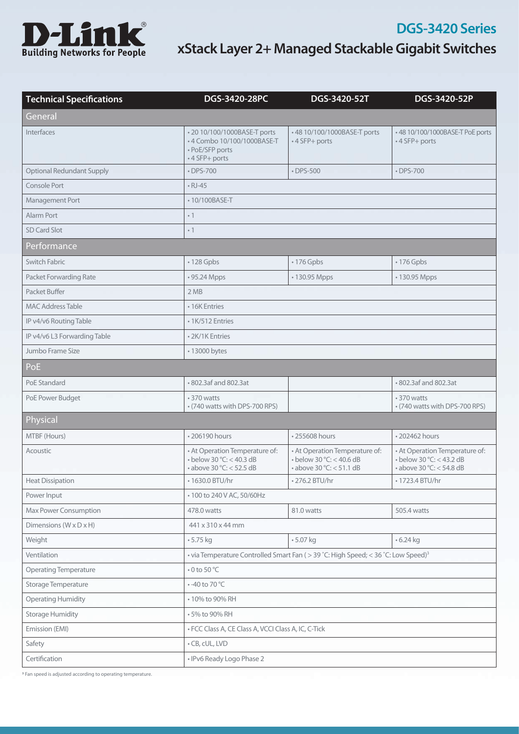

| <b>Technical Specifications</b>      | DGS-3420-28PC                                                                                      | DGS-3420-52T                                                                                       | DGS-3420-52P                                                                                       |  |
|--------------------------------------|----------------------------------------------------------------------------------------------------|----------------------------------------------------------------------------------------------------|----------------------------------------------------------------------------------------------------|--|
| General                              |                                                                                                    |                                                                                                    |                                                                                                    |  |
| Interfaces                           | • 20 10/100/1000BASE-T ports<br>•4 Combo 10/100/1000BASE-T<br>• PoE/SFP ports<br>• 4 SFP+ ports    | • 48 10/100/1000BASE-T ports<br>• 4 SFP+ ports                                                     | • 48 10/100/1000BASE-T PoE ports<br>• 4 SFP+ ports                                                 |  |
| <b>Optional Redundant Supply</b>     | $\cdot$ DPS-700                                                                                    | $\cdot$ DPS-500                                                                                    | • DPS-700                                                                                          |  |
| Console Port                         | $\cdot$ RJ-45                                                                                      |                                                                                                    |                                                                                                    |  |
| Management Port                      | • 10/100BASE-T                                                                                     |                                                                                                    |                                                                                                    |  |
| Alarm Port                           | $\cdot$ 1                                                                                          |                                                                                                    |                                                                                                    |  |
| <b>SD Card Slot</b>                  | $\cdot$ 1                                                                                          |                                                                                                    |                                                                                                    |  |
| Performance                          |                                                                                                    |                                                                                                    |                                                                                                    |  |
| Switch Fabric                        | · 128 Gpbs                                                                                         | • 176 Gpbs                                                                                         | • 176 Gpbs                                                                                         |  |
| Packet Forwarding Rate               | • 95.24 Mpps                                                                                       | • 130.95 Mpps                                                                                      | • 130.95 Mpps                                                                                      |  |
| Packet Buffer                        | 2MB                                                                                                |                                                                                                    |                                                                                                    |  |
| <b>MAC Address Table</b>             | • 16K Entries                                                                                      |                                                                                                    |                                                                                                    |  |
| IP v4/v6 Routing Table               | • 1K/512 Entries                                                                                   |                                                                                                    |                                                                                                    |  |
| IP v4/v6 L3 Forwarding Table         | • 2K/1K Entries                                                                                    |                                                                                                    |                                                                                                    |  |
| Jumbo Frame Size                     | • 13000 bytes                                                                                      |                                                                                                    |                                                                                                    |  |
| PoE                                  |                                                                                                    |                                                                                                    |                                                                                                    |  |
| PoE Standard                         | • 802.3af and 802.3at                                                                              |                                                                                                    | • 802.3af and 802.3at                                                                              |  |
| PoE Power Budget                     | • 370 watts<br>• (740 watts with DPS-700 RPS)                                                      |                                                                                                    | • 370 watts<br>• (740 watts with DPS-700 RPS)                                                      |  |
| Physical                             |                                                                                                    |                                                                                                    |                                                                                                    |  |
| MTBF (Hours)                         | • 206190 hours                                                                                     | • 255608 hours                                                                                     | • 202462 hours                                                                                     |  |
| Acoustic                             | • At Operation Temperature of:<br>$\cdot$ below 30 °C: < 40.3 dB<br>$\cdot$ above 30 °C: < 52.5 dB | • At Operation Temperature of:<br>$\cdot$ below 30 °C: < 40.6 dB<br>$\cdot$ above 30 °C: < 51.1 dB | • At Operation Temperature of:<br>$\cdot$ below 30 °C: < 43.2 dB<br>$\cdot$ above 30 °C: < 54.8 dB |  |
| <b>Heat Dissipation</b>              | • 1630.0 BTU/hr                                                                                    | • 276.2 BTU/hr                                                                                     | • 1723.4 BTU/hr                                                                                    |  |
| Power Input                          | • 100 to 240 V AC, 50/60Hz                                                                         |                                                                                                    |                                                                                                    |  |
| Max Power Consumption                | 478.0 watts                                                                                        | 81.0 watts                                                                                         | 505.4 watts                                                                                        |  |
| Dimensions ( $W \times D \times H$ ) | 441 x 310 x 44 mm                                                                                  |                                                                                                    |                                                                                                    |  |
| Weight                               | • 5.75 kg                                                                                          | • 5.07 kg                                                                                          | $-6.24$ kg                                                                                         |  |
| Ventilation                          | • via Temperature Controlled Smart Fan (> 39 °C: High Speed; < 36 °C: Low Speed) <sup>3</sup>      |                                                                                                    |                                                                                                    |  |
| <b>Operating Temperature</b>         | $\bullet$ 0 to 50 °C                                                                               |                                                                                                    |                                                                                                    |  |
| Storage Temperature                  | • -40 to 70 °C                                                                                     |                                                                                                    |                                                                                                    |  |
| <b>Operating Humidity</b>            | • 10% to 90% RH                                                                                    |                                                                                                    |                                                                                                    |  |
| <b>Storage Humidity</b>              | • 5% to 90% RH                                                                                     |                                                                                                    |                                                                                                    |  |
| Emission (EMI)                       | · FCC Class A, CE Class A, VCCI Class A, IC, C-Tick                                                |                                                                                                    |                                                                                                    |  |
| Safety                               | • CB, cUL, LVD                                                                                     |                                                                                                    |                                                                                                    |  |
| Certification                        | • IPv6 Ready Logo Phase 2                                                                          |                                                                                                    |                                                                                                    |  |

**<sup>3</sup>** Fan speed is adjusted according to operating temperature.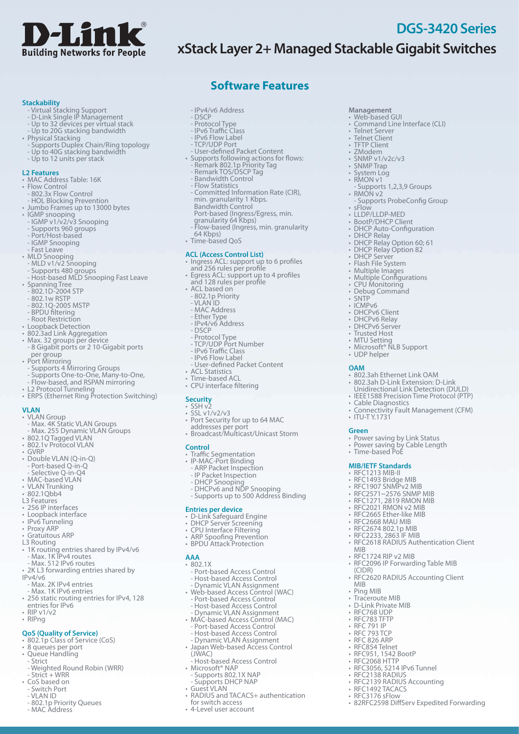

# **xStack Layer 2+ Managed Stackable Gigabit Switches**

**Management** • Web-based GUI

• Telnet Server • Telnet Client • TFTP Client • ZModem  $\cdot$  SNMP v1/v2c/v3 • SNMP Trap • System Log<br>• RMON v1

• RMON v2

• DHCP Relay

• sFlow

• SNTP • ICMP<sub>v6</sub> • DHCPv6 Client • DHCPv6 Relay • DHCPv6 Server • Trusted Host<br>• MTU Setting

Command Line Interface (CLI)

• RMON v1<br>Part of 1,2,3,9 Groups - Supports 1,2,3,9 Groups

• DHCP Relay Option 60; 61 • DHCP Relay Option 82 • DHCP Server • Flash File System<br>• Multiple Images • Multiple Configurations • CPU Monitoring • Debug Command

• Microsoft<sup>®</sup> NLB Support

• 802.3ah Ethernet Link OAM • 802.3ah D-Link Extension: D-Link Unidirectional Link Detection (DULD) • IEEE1588 Precision Time Protocol (PTP)

• Power saving by Link Status • Power saving by Cable Length

• Connectivity Fault Management (CFM)

• RFC2618 RADIUS Authentication Client

• RFC2096 IP Forwarding Table MIB

• RFC3056, 5214 IPv6 Tunnel • RFC2138 RADIUS<br>• RFC2139 RADIUS Accounting

• 82RFC2598 DiffServ Expedited Forwarding

• RFC1492 TACACS • RFC3176 sFlow

• RFC2620 RADIUS Accounting Client

• UDP helper

• Cable Diagnostics

• Time-based PoÉ **MIB/IETF Standards** • RFC1213 MIB-II • RFC1493 Bridge MIB • RFC1907 SNMPv2 MIB • RFC2571~2576 SNMP MIB • RFC1271, 2819 RMON MIB • RFC2021 RMON v2 MIB • RFC2665 Ether-like MIB • REC2668 MAU MIB • RFC2674 802.1p MIB • RFC2233, 2863 IF MIB

• ITU-TY.1731

**OAM**

**Green**

MIB

(CIDR)

MIB • Ping MIB • Traceroute MIB • D-Link Private MIB • RFC768 UDP • RFC783 TFTP • RFC 791 IP • RFC 793 TCP • RFC 826 ARP • RFC854 Telnet • RFC951, 1542 BootP • RFC2068 HTTP

• RFC1724 RIP v2 MIB

• LLDP/LLDP-MED<br>• BootP/DHCP Client • DHCP Auto-Configuration

- Supports ProbeConfig Group

**DGS-3420 Series**

#### **Stackability**

- Virtual Stacking Support
- D-Link Single IP Management
- Up to 32 devices per virtual stack
- Up to 20G stacking bandwidth
- • Physical Stacking
- Supports Duplex Chain/Ring topology - Up to 40G stacking bandwidth
- Up to 12 units per stack

#### **L2 Features**

- MAC Address Table: 16K
- Flow Control
- 802.3x Flow Control - HOL Blocking Prevention
- • Jumbo Frames up to 13000 bytes
- IGMP snooping
- IGMP v1/v2/v3 Snooping
- Supports 960 groups
- Port/Host-based
- IGMP Snooping
- Fast Leave
- MLD Snooping
- MLD v1/v2 Snooping
- Supports 480 groups
- Host-based MLD Snooping Fast Leave • Spanning Tree - 802.1D-2004 STP
- 
- 802.1w RSTP
- 802.1Q-2005 MSTP
- BPDU filtering
- Root Restriction
- • Loopback Detection
- • 802.3ad Link Aggregation
- • Max. 32 groups per device - 8 Gigabit ports or 2 10-Gigabit ports<br>per group
- Port Mirroring
- Supports 4 Mirroring Groups
- Supports One-to-One, Many-to-One,
- Flow-based, and RSPAN mirroring
- L2 Protocol Tunneling
- ERPS (Ethernet Ring Protection Switching)

#### **VLAN**

- VLAN Group<br>FMax. 4K Static VLAN Groups
- 
- Max. 255 Dynamic VLAN Groups • 802.1Q Tagged VLAN
- • 802.1v Protocol VLAN
- 
- GVRP<br>• Double VLAN (Q-in-Q)
- Port-based Q-in-Q<br>• Port-based Q-in-Q<br>• Selective Q-in-Q4
- 
- MAC-based VLAN • VLAN Trunking
- 802.1Qbb4
- 
- L3 Features
- • 256 IP interfaces • Loopback interface
- Loopbuck IIIC.
- • Proxy ARP
- Gratuitous ARP
- L3 Routing
- 1K routing entries shared by IPv4/v6<br>• Max. 1K IPv4 routes
- Max. 512 IPv6 routes
- 2K L3 forwarding entries shared by
- IPv4/v6<br>- Max. 2K IPv4 entries
- Max. 1K IPv6 entries
- • 256 static routing entries for IPv4, <sup>128</sup> entries for IPv6
- $\cdot$  RIP v1/v2
- • RIPng
- **QoS (Quality of Service)**
- 802.1p Class of Service (CoS) • 8 queues per port
- Queue Handling<br>- Strict
- 
- Weighted Round Robin (WRR)
- Strict + WRR
- • CoS based on Switch Port
- 
- VLAN ID<br>- 802.1p Priority Queues
- MAC Address
- IPv4/v6 Address
- DSCP
- 
- Protocol Type<br>- IPv6 Traffic Class<br>- IPv6 Flow Label
- TCP/UDP Port
- 
- User-defined Packet Content • Supports following actions for flows: Remark 802.1p Priority Tag Remark TOS/DSCP Tag Bandwidth Control

**Software Features**

- 
- 
- 
- Flow Statistics
- Committed Information Rate (CIR),<br>
min. granularity 1 Kbps.<br>
Bandwidth Control<br>
Port-based (Ingress/Egress, min.<br>
granularity 64 Kbps)<br>
 Flow-based (Ingress, min. granularity
- 
- 
- 64 Kbps) • Time-based QoS

#### **ACL (Access Control List)**

- Ingress ACL: support up to 6 profiles
- and 256 rules per profile • Egress ACL: support up to 4 profiles and 128 rules per profile

- User-defined Packet Content

• Port Security for up to 64 MAC addresses per port • Broadcast/Multicast/Unicast Storm

- DHCP Snooping - DHCPv6 and NDP Snooping - Supports up to 500 Address Binding

• Traffic Segmentation • IP-MAC-Port Binding - ARP Packet Inspection - IP Packet Inspection

• D-Link Safeguard Engine<br>• DHCP Server Screening<br>• CPU Interface Filtering<br>• ARP Spoofing Prevention<br>• BPDU Attack Protection

- Port-based Access Control - Host-based Access Control - Dynamic VLAN Assignment • Web-based Access Control (WAC) - Port-based Access Control

- Host-based Access Control - Dynamic VLAN Assignment • MAC-based Access Control (MAC) - Port-based Access Control - Host-based Access Control - Dynamic VLAN Assignment • Japan Web-based Access Control (JWAC) - Host-based Access Control • Microsoft® NAP - Supports 802.1X NAP - Supports DHCP NAP • Guest VLAN

• RADIUS and TACACS+ authentication

for switch access • 4-Level user account

**Entries per device**

- 
- • ACL based on 802.1p Priority VLAN ID
- 
- 
- 
- MAC Address Ether Type IPv4/v6 Address DSCP
- Protocol Type<br>- TCP/UDP Port Number<br>- IPv6 Traffic Class<br>- IPv6 Flow Label

• ACL Statistics • Time-based ACL • CPU interface filtering

**Security** • SSH v2 • SSL v1/v2/v3

**Control**

**AAA** • 802.1X